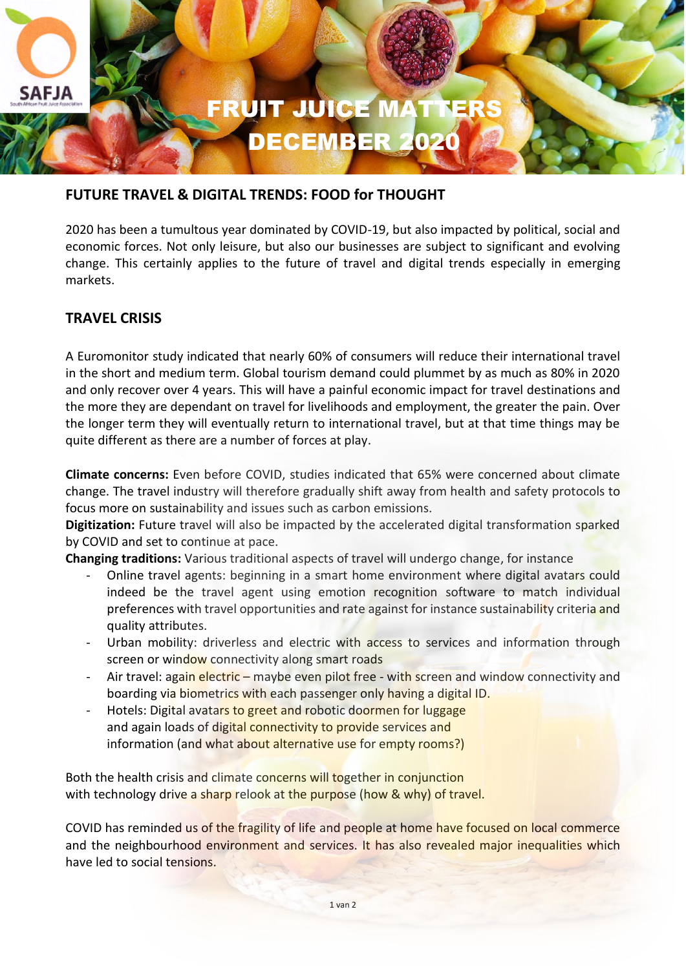

### **FUTURE TRAVEL & DIGITAL TRENDS: FOOD for THOUGHT**

2020 has been a tumultous year dominated by COVID-19, but also impacted by political, social and economic forces. Not only leisure, but also our businesses are subject to significant and evolving change. This certainly applies to the future of travel and digital trends especially in emerging markets.

# **TRAVEL CRISIS**

A Euromonitor study indicated that nearly 60% of consumers will reduce their international travel in the short and medium term. Global tourism demand could plummet by as much as 80% in 2020 and only recover over 4 years. This will have a painful economic impact for travel destinations and the more they are dependant on travel for livelihoods and employment, the greater the pain. Over the longer term they will eventually return to international travel, but at that time things may be quite different as there are a number of forces at play.

**Climate concerns:** Even before COVID, studies indicated that 65% were concerned about climate change. The travel industry will therefore gradually shift away from health and safety protocols to focus more on sustainability and issues such as carbon emissions.

**Digitization:** Future travel will also be impacted by the accelerated digital transformation sparked by COVID and set to continue at pace.

**Changing traditions:** Various traditional aspects of travel will undergo change, for instance

- Online travel agents: beginning in a smart home environment where digital avatars could indeed be the travel agent using emotion recognition software to match individual preferences with travel opportunities and rate against for instance sustainability criteria and quality attributes.
- Urban mobility: driverless and electric with access to services and information through screen or window connectivity along smart roads
- Air travel: again electric maybe even pilot free with screen and window connectivity and boarding via biometrics with each passenger only having a digital ID.
- Hotels: Digital avatars to greet and robotic doormen for luggage and again loads of digital connectivity to provide services and information (and what about alternative use for empty rooms?)

Both the health crisis and climate concerns will together in conjunction with technology drive a sharp relook at the purpose (how & why) of travel.

COVID has reminded us of the fragility of life and people at home have focused on local commerce and the neighbourhood environment and services. It has also revealed major inequalities which have led to social tensions.